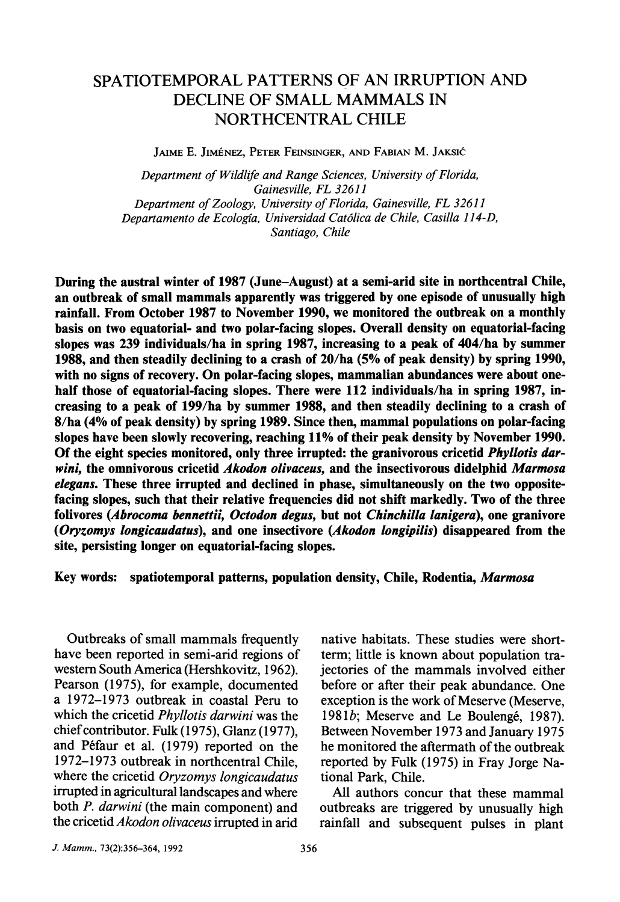# **SPATIOTEMPORAL PATTERNS OF AN IRRUPTION AND DECLINE OF SMALL MAMMALS IN NORTHCENTRAL CHILE**

**JAIME. JIMENEZ, PETER FEINSINGER, AND FABIAN M. JAKSIC** 

**Department of Wildlife and Range Sciences, University of Florida, Gainesville, FL 32611 Department of Zoology, University of Florida, Gainesville, FL 32611 Departamento de Ecologia, Universidad Cat6lica de Chile, Casilla 114-D, Santiago, Chile** 

**During the austral winter of 1987 (June-August) at a semi-arid site in northcentral Chile, an outbreak of small mammals apparently was triggered by one episode of unusually high rainfall. From October 1987 to November 1990, we monitored the outbreak on a monthly basis on two equatorial- and two polar-facing slopes. Overall density on equatorial-facing slopes was 239 individuals/ha in spring 1987, increasing to a peak of 404/ha by summer 1988, and then steadily declining to a crash of 20/ha (5% of peak density) by spring 1990, with no signs of recovery. On polar-facing slopes, mammalian abundances were about onehalf those of equatorial-facing slopes. There were 112 individuals/ha in spring 1987, increasing to a peak of 199/ha by summer 1988, and then steadily declining to a crash of 8/ha (4% of peak density) by spring 1989. Since then, mammal populations on polar-facing slopes have been slowly recovering, reaching 11% of their peak density by November 1990. Of the eight species monitored, only three irrupted: the granivorous cricetid Phyllotis darwini, the omnivorous cricetid Akodon olivaceus, and the insectivorous didelphid Marmosa elegans. These three irrupted and declined in phase, simultaneously on the two oppositefacing slopes, such that their relative frequencies did not shift markedly. Two of the three folivores (Abrocoma bennettii, Octodon degus, but not Chinchilla lanigera), one granivore (Oryzomys longicaudatus), and one insectivore (Akodon longipilis) disappeared from the site, persisting longer on equatorial-facing slopes.** 

**Key words: spatiotemporal patterns, population density, Chile, Rodentia, Marmosa** 

**Outbreaks of small mammals frequently have been reported in semi-arid regions of western South America (Hershkovitz, 1962). Pearson (1975), for example, documented a 1972-1973 outbreak in coastal Peru to which the cricetid Phyllotis darwini was the chief contributor. Fulk (1975), Glanz (1977), and Pefaur et al. (1979) reported on the 1972-1973 outbreak in northcentral Chile, where the cricetid Oryzomys longicaudatus irrupted in agricultural landscapes and where both P. darwini (the main component) and the cricetid Akodon olivaceus irrupted in arid** 

**native habitats. These studies were shortterm; little is known about population trajectories of the mammals involved either before or after their peak abundance. One exception is the work of Meserve (Meserve, 1981b; Meserve and Le Bouleng6, 1987). Between November 1973 and January 1975 he monitored the aftermath of the outbreak reported by Fulk (1975) in Fray Jorge National Park, Chile.** 

**All authors concur that these mammal outbreaks are triggered by unusually high rainfall and subsequent pulses in plant**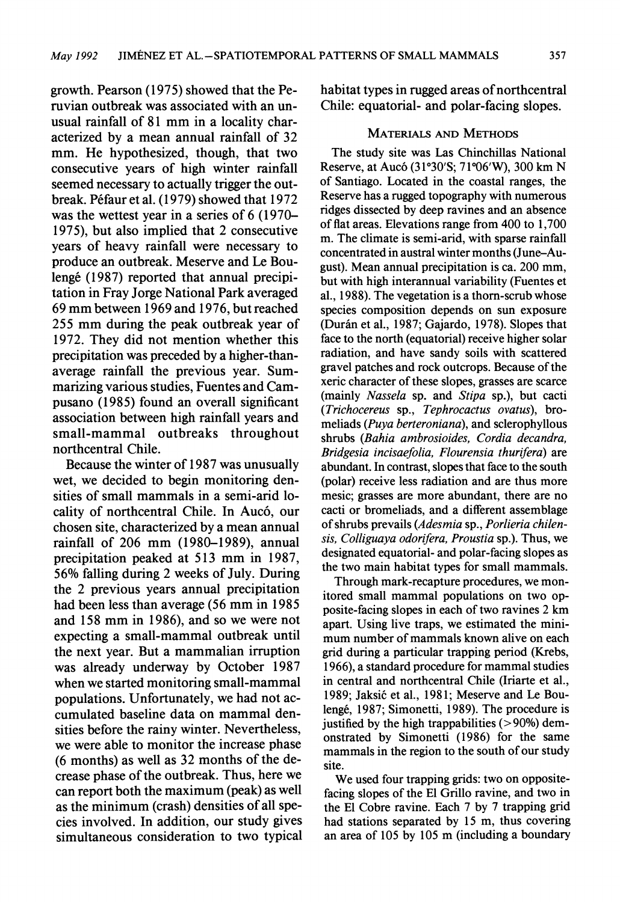**growth. Pearson (1975) showed that the Peruvian outbreak was associated with an unusual rainfall of 81 mm in a locality characterized by a mean annual rainfall of 32 mm. He hypothesized, though, that two consecutive years of high winter rainfall seemed necessary to actually trigger the outbreak. Pffaur et al. (1979) showed that 1972 was the wettest year in a series of 6 (1970- 1975), but also implied that 2 consecutive years of heavy rainfall were necessary to produce an outbreak. Meserve and Le Bouleng6 (1987) reported that annual precipitation in Fray Jorge National Park averaged 69 mm between 1969 and 1976, but reached 255 mm during the peak outbreak year of 1972. They did not mention whether this precipitation was preceded by a higher-thanaverage rainfall the previous year. Summarizing various studies, Fuentes and Campusano (1985) found an overall significant association between high rainfall years and small-mammal outbreaks throughout northcentral Chile.** 

**Because the winter of 1987 was unusually wet, we decided to begin monitoring densities of small mammals in a semi-arid locality of northcentral Chile. In Auc6, our chosen site, characterized by a mean annual rainfall of 206 mm (1980-1989), annual precipitation peaked at 513 mm in 1987, 56% falling during 2 weeks of July. During the 2 previous years annual precipitation had been less than average (56 mm in 1985 and 158 mm in 1986), and so we were not expecting a small-mammal outbreak until the next year. But a mammalian irruption was already underway by October 1987 when we started monitoring small-mammal populations. Unfortunately, we had not accumulated baseline data on mammal densities before the rainy winter. Nevertheless, we were able to monitor the increase phase (6 months) as well as 32 months of the decrease phase of the outbreak. Thus, here we can report both the maximum (peak) as well as the minimum (crash) densities of all species involved. In addition, our study gives simultaneous consideration to two typical**  **habitat types in rugged areas of northcentral Chile: equatorial- and polar-facing slopes.** 

## **MATERIALS AND METHODS**

**The study site was Las Chinchillas National Reserve, at Auc6 (31?30'S; 71?06'W), 300 km N of Santiago. Located in the coastal ranges, the Reserve has a rugged topography with numerous ridges dissected by deep ravines and an absence of flat areas. Elevations range from 400 to 1,700 m. The climate is semi-arid, with sparse rainfall concentrated in austral winter months (June-August). Mean annual precipitation is ca. 200 mm, but with high interannual variability (Fuentes et al., 1988). The vegetation is a thorn-scrub whose species composition depends on sun exposure (Durfin et al., 1987; Gajardo, 1978). Slopes that face to the north (equatorial) receive higher solar radiation, and have sandy soils with scattered gravel patches and rock outcrops. Because of the xeric character of these slopes, grasses are scarce (mainly Nassela sp. and Stipa sp.), but cacti (Trichocereus sp., Tephrocactus ovatus), bromeliads (Puya berteroniana), and sclerophyllous shrubs (Bahia ambrosioides, Cordia decandra, Bridgesia incisaefolia, Flourensia thurifera) are abundant. In contrast, slopes that face to the south (polar) receive less radiation and are thus more mesic; grasses are more abundant, there are no cacti or bromeliads, and a different assemblage of shrubs prevails (Adesmia sp., Porlieria chilensis, Colliguaya odorifera, Proustia sp.). Thus, we designated equatorial- and polar-facing slopes as the two main habitat types for small mammals.** 

**Through mark-recapture procedures, we monitored small mammal populations on two opposite-facing slopes in each of two ravines 2 km apart. Using live traps, we estimated the minimum number of mammals known alive on each grid during a particular trapping period (Krebs, 1966), a standard procedure for mammal studies in central and northcentral Chile (Iriarte et al.,**  1989; Jaksić et al., 1981; Meserve and Le Bou**leng6, 1987; Simonetti, 1989). The procedure is justified by the high trappabilities (> 90%) demonstrated by Simonetti (1986) for the same mammals in the region to the south of our study site.** 

**We used four trapping grids: two on oppositefacing slopes of the El Grillo ravine, and two in the El Cobre ravine. Each 7 by 7 trapping grid had stations separated by 15 m, thus covering an area of 105 by 105 m (including a boundary**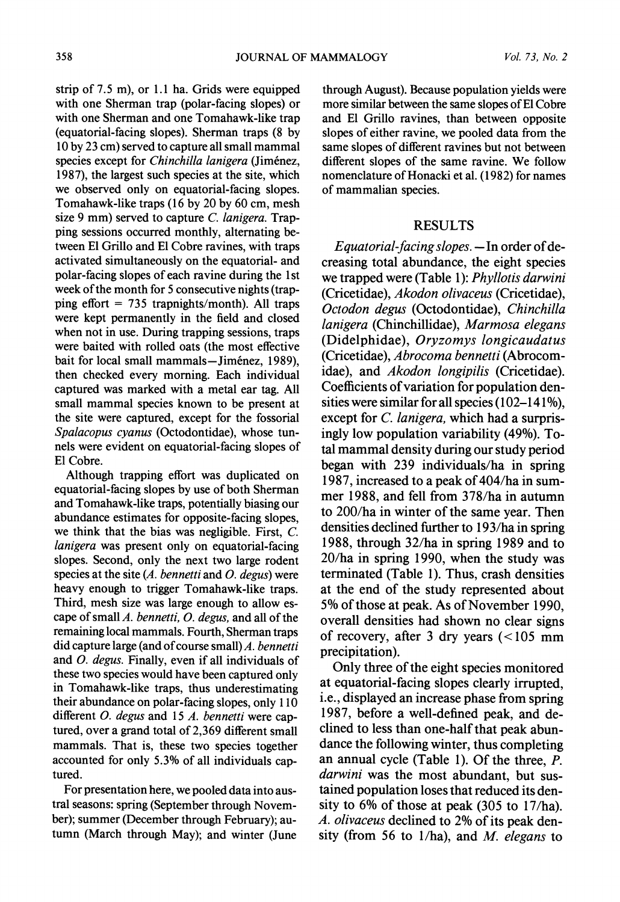**strip of 7.5 m), or 1.1 ha. Grids were equipped with one Sherman trap (polar-facing slopes) or with one Sherman and one Tomahawk-like trap (equatorial-facing slopes). Sherman traps (8 by 10 by 23 cm) served to capture all small mammal**  species except for *Chinchilla lanigera* (Jiménez, **1987), the largest such species at the site, which we observed only on equatorial-facing slopes. Tomahawk-like traps (16 by 20 by 60 cm, mesh size 9 mm) served to capture C. lanigera. Trapping sessions occurred monthly, alternating between El Grillo and El Cobre ravines, with traps activated simultaneously on the equatorial- and polar-facing slopes of each ravine during the 1st week of the month for 5 consecutive nights (trapping effort = 735 trapnights/month). All traps were kept permanently in the field and closed when not in use. During trapping sessions, traps were baited with rolled oats (the most effective**  bait for local small mammals-Jiménez, 1989), **then checked every morning. Each individual captured was marked with a metal ear tag. All small mammal species known to be present at the site were captured, except for the fossorial Spalacopus cyanus (Octodontidae), whose tunnels were evident on equatorial-facing slopes of El Cobre.** 

**Although trapping effort was duplicated on equatorial-facing slopes by use of both Sherman and Tomahawk-like traps, potentially biasing our**  abundance estimates for opposite-facing slopes, **we think that the bias was negligible. First, C. lanigera was present only on equatorial-facing slopes. Second, only the next two large rodent species at the site (A. bennetti and 0. degus) were heavy enough to trigger Tomahawk-like traps. Third, mesh size was large enough to allow escape of small A. bennetti, 0. degus, and all of the remaining local mammals. Fourth, Sherman traps did capture large (and of course small) A. bennetti and 0. degus. Finally, even if all individuals of these two species would have been captured only in Tomahawk-like traps, thus underestimating their abundance on polar-facing slopes, only 110 different 0. degus and 15 A. bennetti were captured, over a grand total of 2,369 different small mammals. That is, these two species together accounted for only 5.3% of all individuals captured.** 

**For presentation here, we pooled data into austral seasons: spring (September through November); summer (December through February); autumn (March through May); and winter (June**  **through August). Because population yields were more similar between the same slopes of El Cobre and El Grillo ravines, than between opposite slopes of either ravine, we pooled data from the same slopes of different ravines but not between different slopes of the same ravine. We follow nomenclature of Honacki et al. (1982) for names of mammalian species.** 

# **RESULTS**

Equatorial-facing slopes. - In order of de**creasing total abundance, the eight species we trapped were (Table 1): Phyllotis darwini (Cricetidae), Akodon olivaceus (Cricetidae), Octodon degus (Octodontidae), Chinchilla lanigera (Chinchillidae), Marmosa elegans (Didelphidae), Oryzomys longicaudatus (Cricetidae), Abrocoma bennetti (Abrocomidae), and Akodon longipilis (Cricetidae). Coefficients of variation for population densities were similar for all species (102-141%), except for C. lanigera, which had a surprisingly low population variability (49%). Total mammal density during our study period began with 239 individuals/ha in spring 1987, increased to a peak of 404/ha in summer 1988, and fell from 378/ha in autumn to 200/ha in winter of the same year. Then densities declined further to 193/ha in spring 1988, through 32/ha in spring 1989 and to 20/ha in spring 1990, when the study was terminated (Table 1). Thus, crash densities at the end of the study represented about 5% of those at peak. As of November 1990, overall densities had shown no clear signs of recovery, after 3 dry years (<105 mm precipitation).** 

**Only three of the eight species monitored at equatorial-facing slopes clearly irrupted, i.e., displayed an increase phase from spring 1987, before a well-defined peak, and declined to less than one-half that peak abundance the following winter, thus completing an annual cycle (Table 1). Of the three, P. darwini was the most abundant, but sustained population loses that reduced its density to 6% of those at peak (305 to 17/ha). A. olivaceus declined to 2% of its peak density (from 56 to 1/ha), and M. elegans to**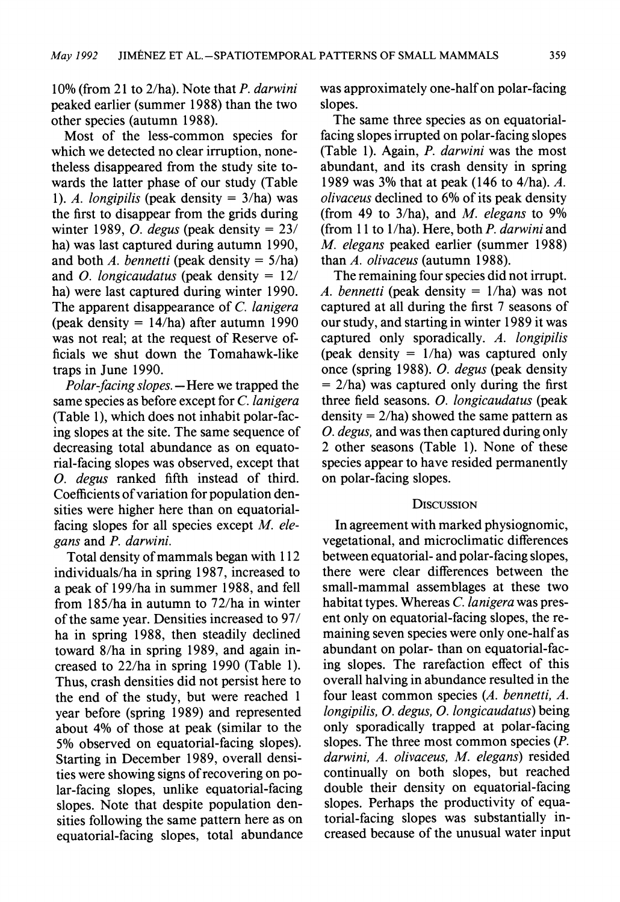**10% (from 21 to 2/ha). Note that P. darwini peaked earlier (summer 1988) than the two other species (autumn 1988).** 

**Most of the less-common species for which we detected no clear irruption, nonetheless disappeared from the study site towards the latter phase of our study (Table 1). A. longipilis (peak density = 3/ha) was the first to disappear from the grids during winter 1989, 0. degus (peak density = 23/ ha) was last captured during autumn 1990, and both A. bennetti (peak density = 5/ha) and 0. longicaudatus (peak density = 12/ ha) were last captured during winter 1990. The apparent disappearance of C. lanigera (peak density = 14/ha) after autumn 1990 was not real; at the request of Reserve officials we shut down the Tomahawk-like traps in June 1990.** 

Polar-facing slopes. — Here we trapped the **same species as before except for C. lanigera (Table 1), which does not inhabit polar-facing slopes at the site. The same sequence of decreasing total abundance as on equatorial-facing slopes was observed, except that 0. degus ranked fifth instead of third. Coefficients of variation for population densities were higher here than on equatorialfacing slopes for all species except M. elegans and P. darwini.** 

**Total density of mammals began with 112 individuals/ha in spring 1987, increased to a peak of 199/ha in summer 1988, and fell from 185/ha in autumn to 72/ha in winter of the same year. Densities increased to 97/ ha in spring 1988, then steadily declined toward 8/ha in spring 1989, and again increased to 22/ha in spring 1990 (Table 1). Thus, crash densities did not persist here to the end of the study, but were reached 1 year before (spring 1989) and represented about 4% of those at peak (similar to the 5% observed on equatorial-facing slopes). Starting in December 1989, overall densities were showing signs of recovering on polar-facing slopes, unlike equatorial-facing slopes. Note that despite population densities following the same pattern here as on equatorial-facing slopes, total abundance**  **was approximately one-half on polar-facing slopes.** 

**The same three species as on equatorialfacing slopes irrupted on polar-facing slopes (Table 1). Again, P. darwini was the most abundant, and its crash density in spring 1989 was 3% that at peak (146 to 4/ha). A. olivaceus declined to 6% of its peak density (from 49 to 3/ha), and M. elegans to 9% (from 11 to 1/ha). Here, both P. darwini and M. elegans peaked earlier (summer 1988) than A. olivaceus (autumn 1988).** 

**The remaining four species did not irrupt. A. bennetti (peak density = 1/ha) was not captured at all during the first 7 seasons of our study, and starting in winter 1989 it was captured only sporadically. A. longipilis (peak density = 1/ha) was captured only once (spring 1988). 0. degus (peak density = 2/ha) was captured only during the first three field seasons. 0. longicaudatus (peak density = 2/ha) showed the same pattern as 0. degus, and was then captured during only 2 other seasons (Table 1). None of these species appear to have resided permanently on polar-facing slopes.** 

### **DISCUSSION**

**In agreement with marked physiognomic, vegetational, and microclimatic differences between equatorial- and polar-facing slopes, there were clear differences between the small-mammal assemblages at these two habitat types. Whereas C. lanigera was present only on equatorial-facing slopes, the remaining seven species were only one-half as abundant on polar- than on equatorial-facing slopes. The rarefaction effect of this overall halving in abundance resulted in the four least common species (A. bennetti, A. longipilis, 0. degus, 0. longicaudatus) being only sporadically trapped at polar-facing slopes. The three most common species (P. darwini, A. olivaceus, M. elegans) resided continually on both slopes, but reached double their density on equatorial-facing slopes. Perhaps the productivity of equatorial-facing slopes was substantially increased because of the unusual water input**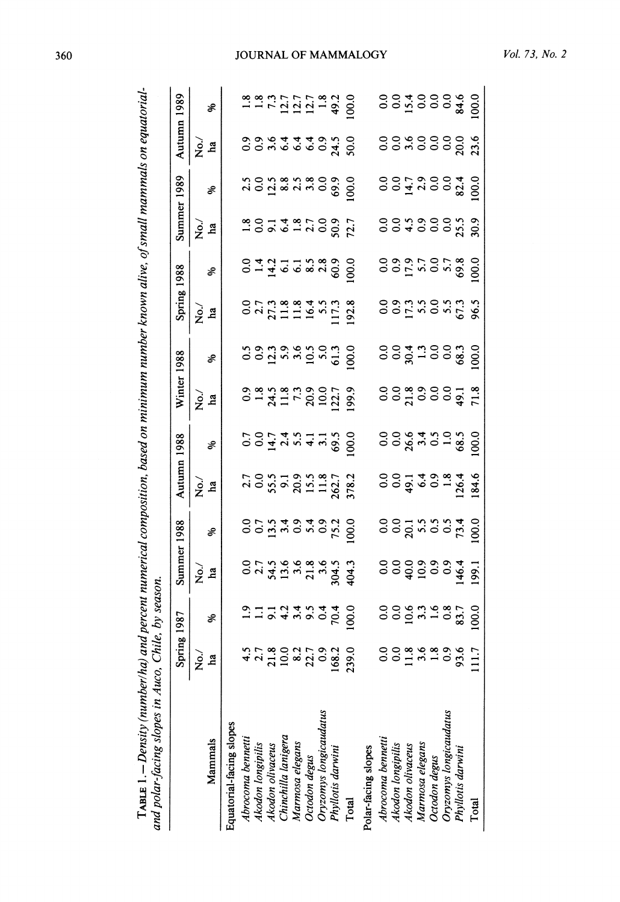|                          | Spring 1987                                                                                                               |                                                    | Summer 1988                               | Autumn 1988                               |                                           | Winter 1988                               |                                           | Spring 1988                               |                                                          | Summer 1989                               |                                           | Autumn 1989                               |                                                    |
|--------------------------|---------------------------------------------------------------------------------------------------------------------------|----------------------------------------------------|-------------------------------------------|-------------------------------------------|-------------------------------------------|-------------------------------------------|-------------------------------------------|-------------------------------------------|----------------------------------------------------------|-------------------------------------------|-------------------------------------------|-------------------------------------------|----------------------------------------------------|
| Mammals                  | $\,$ $\,$<br>$\dot{z}$<br>La                                                                                              | Χò,<br><b>ha</b>                                   | శి                                        | 、<br>No.<br>La                            | శ                                         | No.<br><b>ha</b>                          | శి                                        | è<br>La                                   | $\delta$                                                 | λò.<br>ha                                 | శి                                        | λò.<br>ha                                 | శి                                                 |
| Equatorial-facing slopes |                                                                                                                           |                                                    |                                           |                                           |                                           |                                           |                                           |                                           |                                                          |                                           |                                           |                                           |                                                    |
| Abrocoma bennetti        |                                                                                                                           |                                                    |                                           |                                           |                                           |                                           |                                           |                                           |                                                          |                                           |                                           |                                           |                                                    |
| Akodon longipilis        | 22                                                                                                                        | $0.0$<br>2.7                                       | 0.0000                                    | $\frac{27}{0.0}$                          | 0.074977                                  | 0.8                                       | 0.5                                       | $0.0$<br>$2.7$                            | 0.443                                                    | $\frac{8}{0}$ 0.                          | $\frac{2.5}{0.0}$                         | 0.9                                       | $1.8$<br>$1.3$<br>$7.1$<br>$1.2$<br>$1.7$<br>$1.2$ |
| Akodon olivaceus         |                                                                                                                           | 54.5                                               |                                           |                                           |                                           |                                           |                                           |                                           |                                                          | $\overline{9}$                            |                                           | 3.6                                       |                                                    |
| Chinchilla lanigera      | 3.44                                                                                                                      | $13.6$<br>3.6                                      | $13.5$<br>$3.4$<br>$0.9$                  | 55.5                                      |                                           | 24.5<br>11.8<br>7.3                       | $12.3$<br>$5.9$<br>$3.6$                  | 27.3                                      |                                                          |                                           |                                           | 6.4                                       |                                                    |
| Marmosa elegans          |                                                                                                                           |                                                    |                                           | 20.9                                      |                                           |                                           |                                           | 11.8                                      |                                                          |                                           |                                           | 6.4                                       |                                                    |
| Octodon degus            | 9.5                                                                                                                       | 21.8                                               |                                           | 15.5                                      |                                           | 20.9                                      |                                           |                                           |                                                          | $6.4$<br>$-2.7$                           |                                           | 6.4                                       |                                                    |
| Oryzomys longicaudatus   | $\overline{0.4}$                                                                                                          | 3.6                                                | 5.4                                       | 11.8                                      |                                           | 10.0                                      | $10.5$<br>5.0                             | $16.4$<br>5.5                             | $8.5$<br>2.8                                             | $\rm ^{0.0}$                              |                                           | $\ddot{0}$ .                              | 1.8                                                |
| Phyllotis darwini        | 70.4<br>$4.5$<br>$7.7$<br>$8.0$<br>$1.8$<br>$1.0$<br>$1.7$<br>$1.0$<br>$1.0$<br>$1.0$<br>$1.0$<br>$1.0$<br>$1.0$<br>$1.0$ | 304.5                                              | 75.2                                      | 262.7                                     | 69.5                                      | 122.7                                     | 61.3                                      | 117.3                                     | 60.9                                                     | 50.9                                      | 69.9                                      | 24.5                                      | 49.2                                               |
| Total                    | 100.0<br>239.0                                                                                                            | 404.3                                              | 100.0                                     | 378.2                                     | 100.0                                     | 199.9                                     | 100.0                                     | 192.8                                     | 100.0                                                    | 72.7                                      | 100.0                                     | 50.0                                      | 100.0                                              |
| Polar-facing slopes      |                                                                                                                           |                                                    |                                           |                                           |                                           |                                           |                                           |                                           |                                                          |                                           |                                           |                                           |                                                    |
|                          |                                                                                                                           |                                                    |                                           |                                           |                                           |                                           |                                           |                                           |                                                          |                                           |                                           |                                           |                                                    |
| Abrocoma bennetti        | $\begin{array}{c} 0.0 \\ 0.0 \end{array}$<br>0.00018                                                                      | $\frac{0}{0}$                                      | $\begin{array}{c} 0.0 \\ 0.0 \end{array}$ | $\begin{array}{c} 0.0 \\ 0.0 \end{array}$ | $\begin{array}{c} 0.0 \\ 0.0 \end{array}$ | $\begin{array}{c} 0.0 \\ 0.0 \end{array}$ | $\begin{array}{c} 0.0 \\ 0.0 \end{array}$ | $\begin{array}{c} 0.9 \\ 0.9 \end{array}$ | $\frac{0}{0}$                                            | $\begin{array}{c} 0.0 \\ 0.0 \end{array}$ | $\begin{array}{c} 0.0 \\ 0.0 \end{array}$ | $\begin{array}{c} 0.0 \\ 0.0 \end{array}$ | $\begin{array}{c} 0.0 \\ 0.0 \end{array}$          |
| Akodon longipilis        |                                                                                                                           |                                                    |                                           |                                           |                                           |                                           |                                           |                                           |                                                          |                                           |                                           |                                           |                                                    |
| Akodon olivaceus         | 10.6                                                                                                                      | 40.0                                               | 20.1                                      | 49.1                                      | 26.6                                      | 21.8                                      | 30.4                                      | 17.3                                      |                                                          | 4.500                                     |                                           | 3.6                                       | 15.4                                               |
| Marmosa elegans          |                                                                                                                           | 10.9                                               |                                           | 6.4                                       |                                           | $\overline{0.9}$                          |                                           |                                           |                                                          |                                           |                                           | $\overline{0}$                            |                                                    |
| Octodon degus            |                                                                                                                           |                                                    |                                           | $\ddot{0}$                                |                                           | $\overline{0}$ .                          |                                           | 5.5                                       | $\begin{array}{c} 17.9 \\ 5.7 \\ 0.0 \\ 5.7 \end{array}$ |                                           | $14.7$<br>$0.00$<br>$0.00$                | 0.0                                       | $rac{0}{0}$                                        |
| Oryzomys longicaudatus   |                                                                                                                           |                                                    |                                           | 1.8                                       |                                           | $\overline{0.0}$                          |                                           |                                           |                                                          | $\rm ^{0}$                                |                                           |                                           |                                                    |
| Phyllotis darwini        | $3.3$<br>$1.6$<br>$83.7$<br>$3.898$<br>$-0.39$                                                                            | $\begin{array}{c} 0.9 \\ 0.9 \\ 146.4 \end{array}$ | $5.5$<br>$0.594$<br>$73.4$                | 126.4                                     | $3.500$<br>$-1.85$                        | 49.1                                      | $13000$<br>$0003$                         | $5.5$<br>$67.3$                           | 69.8                                                     | 25.5                                      | 82.4                                      | 20.0                                      | 84.6                                               |
|                          | 100.0<br>$\overline{\phantom{a}}$<br>$\Xi$                                                                                | 199.1                                              | 100.0                                     | 184.6                                     | 100.0                                     | 71.8                                      | 100.0                                     | 6.5                                       | 100.0                                                    | 30.9                                      | 100.0                                     | 23.6                                      | 100.0                                              |
| Total                    |                                                                                                                           |                                                    |                                           |                                           |                                           |                                           |                                           |                                           |                                                          |                                           |                                           |                                           |                                                    |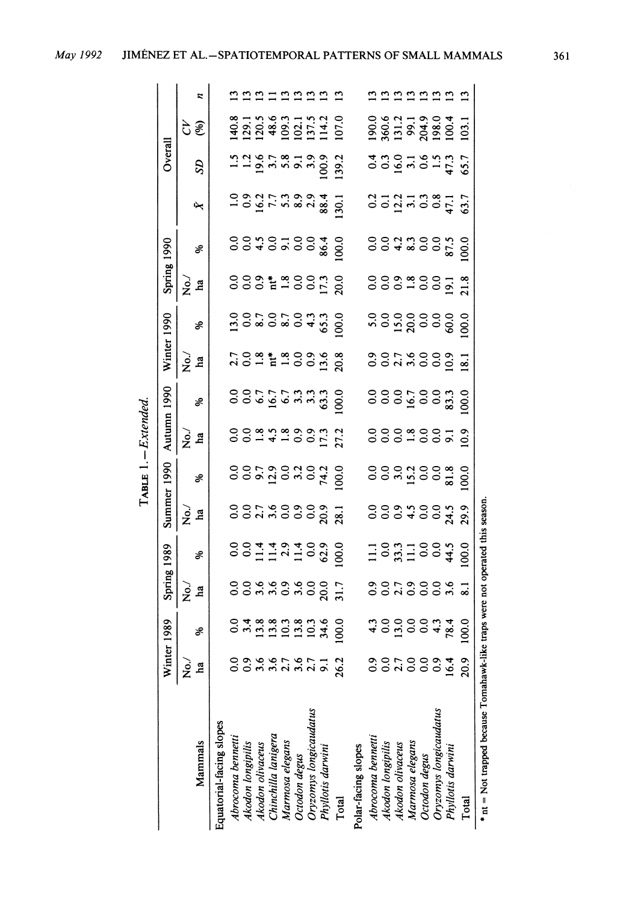| ۰.<br>×<br>٠ |  |
|--------------|--|

| 2000<br>Autumn 1990<br>$\rm ^{0.0}$<br>0.0<br>$\frac{0}{2}$<br>6.7<br>16.7<br>$6.7$<br>$6.3, 3.3$<br>$6.3, 3.3$<br>100.0<br>ွ<br>$\frac{0}{0}$<br>100.0<br>16.7<br>83.3<br>శి<br>$-4.89997$<br>ွ<br>$\rm ^{0.0}$<br>$\overline{0}$<br>$\overline{0.0}$<br>1.8<br>$\frac{0}{0}$<br>27.2<br>ွ<br>10.9<br>è<br>$\overline{9}$<br>ha<br>Summer 1990<br>$\rm ^{0}$<br>0.0110.00<br>0.0110.00<br>100.0<br>ွ<br>81.8<br>100.0<br>74.2<br>శ<br>* nt = Not trapped because Tomahawk-like traps were not operated this season<br>300<br>$\frac{0}{2}$<br>20.9<br>$\begin{array}{c} 0.0 \\ 0.0 \end{array}$<br>ွ<br>24.5<br>29.9<br>$\vec{z}$<br>28.1<br><b>h</b> a<br>ွ<br>$\frac{0}{2}$<br>11.4<br>$11.4$<br>2.9<br>$11.4$<br>0.0<br>62.9<br>100.0<br>$\rm ^{0.0}$<br>33.3<br>$\begin{array}{c} 0.0 \\ 0.0 \end{array}$<br>100.0<br>44.5<br>$\Xi$<br>1989<br>$\Xi$<br>శి<br>Spring<br>0.9.9.9.9.0<br>0.0<br>$\rm ^{o}$<br>20.0<br>$0.0$<br>$2.7$<br>$\ddot{0}$<br>ွဲ<br>3.6<br>$\mathbf{\hat{z}}$<br>31.7<br>$\overline{8.1}$<br>La<br>$\rm ^{0}$<br>$\rm ^{o}$<br>18881381<br>198929<br>100.0<br>300<br>13.0<br>0.0<br>1989<br>34.6<br>78.4<br>100.0<br>శి<br>đ<br>Wint<br>0.9<br>3.6<br>0.0<br>0.0<br>0.0<br>0.9<br>16.4<br>20.9<br>2.7<br>0.0<br>0.9<br>26.2<br>9.1<br>$\vec{R}$<br>ha<br>Oryzomys longicaudatus<br>Oryzomys longicaudatus<br>Equatorial-facing slopes<br>Chinchilla lanigera<br>Abrocoma bennetti<br>Abrocoma bennetti<br>Marmosa elegans<br>Marmosa elegans<br>Akodon longipilis<br>Mammals<br>Akodon longipilis<br>Akodon olivaceus<br>Akodon olivaceus<br>Phyllotis darwini<br>Polar-facing slopes<br>Phyllotis darwini<br>Octodon degus<br>Octodon degus<br>Total<br>Total |  | Winter 1990<br>$\vec{z}$<br>ha |                                           | Spring          | 1990                                      |                          |                          |          |
|-------------------------------------------------------------------------------------------------------------------------------------------------------------------------------------------------------------------------------------------------------------------------------------------------------------------------------------------------------------------------------------------------------------------------------------------------------------------------------------------------------------------------------------------------------------------------------------------------------------------------------------------------------------------------------------------------------------------------------------------------------------------------------------------------------------------------------------------------------------------------------------------------------------------------------------------------------------------------------------------------------------------------------------------------------------------------------------------------------------------------------------------------------------------------------------------------------------------------------------------------------------------------------------------------------------------------------------------------------------------------------------------------------------------------------------------------------------------------------------------------------------------------------------------------------------------------------------------------------------------------------------------------------------------------------------------|--|--------------------------------|-------------------------------------------|-----------------|-------------------------------------------|--------------------------|--------------------------|----------|
|                                                                                                                                                                                                                                                                                                                                                                                                                                                                                                                                                                                                                                                                                                                                                                                                                                                                                                                                                                                                                                                                                                                                                                                                                                                                                                                                                                                                                                                                                                                                                                                                                                                                                           |  |                                |                                           |                 |                                           |                          | Overall                  |          |
|                                                                                                                                                                                                                                                                                                                                                                                                                                                                                                                                                                                                                                                                                                                                                                                                                                                                                                                                                                                                                                                                                                                                                                                                                                                                                                                                                                                                                                                                                                                                                                                                                                                                                           |  |                                | శి                                        | $\vec{z}$<br>ha | శి                                        | S <sub>D</sub><br>↜      | (%)<br>ð                 | z        |
|                                                                                                                                                                                                                                                                                                                                                                                                                                                                                                                                                                                                                                                                                                                                                                                                                                                                                                                                                                                                                                                                                                                                                                                                                                                                                                                                                                                                                                                                                                                                                                                                                                                                                           |  |                                |                                           |                 |                                           |                          |                          |          |
|                                                                                                                                                                                                                                                                                                                                                                                                                                                                                                                                                                                                                                                                                                                                                                                                                                                                                                                                                                                                                                                                                                                                                                                                                                                                                                                                                                                                                                                                                                                                                                                                                                                                                           |  | $\frac{2.7}{0.0}$              | 13.0                                      | $\rm ^{\circ}$  | ိ                                         | $\vec{=}$                | 140.8                    |          |
|                                                                                                                                                                                                                                                                                                                                                                                                                                                                                                                                                                                                                                                                                                                                                                                                                                                                                                                                                                                                                                                                                                                                                                                                                                                                                                                                                                                                                                                                                                                                                                                                                                                                                           |  |                                |                                           | 0.0             | $\rm ^{0}$                                |                          | 129.1                    |          |
|                                                                                                                                                                                                                                                                                                                                                                                                                                                                                                                                                                                                                                                                                                                                                                                                                                                                                                                                                                                                                                                                                                                                                                                                                                                                                                                                                                                                                                                                                                                                                                                                                                                                                           |  | 1.8                            |                                           | $\frac{6}{2}$   |                                           |                          | 120.5                    |          |
|                                                                                                                                                                                                                                                                                                                                                                                                                                                                                                                                                                                                                                                                                                                                                                                                                                                                                                                                                                                                                                                                                                                                                                                                                                                                                                                                                                                                                                                                                                                                                                                                                                                                                           |  |                                |                                           | 2800            | 40200                                     | 0.217.39.99              | 48.6<br>1.26787879       |          |
|                                                                                                                                                                                                                                                                                                                                                                                                                                                                                                                                                                                                                                                                                                                                                                                                                                                                                                                                                                                                                                                                                                                                                                                                                                                                                                                                                                                                                                                                                                                                                                                                                                                                                           |  |                                |                                           |                 |                                           |                          | 109.3                    |          |
|                                                                                                                                                                                                                                                                                                                                                                                                                                                                                                                                                                                                                                                                                                                                                                                                                                                                                                                                                                                                                                                                                                                                                                                                                                                                                                                                                                                                                                                                                                                                                                                                                                                                                           |  |                                |                                           |                 |                                           |                          | 102.1                    |          |
|                                                                                                                                                                                                                                                                                                                                                                                                                                                                                                                                                                                                                                                                                                                                                                                                                                                                                                                                                                                                                                                                                                                                                                                                                                                                                                                                                                                                                                                                                                                                                                                                                                                                                           |  |                                |                                           |                 |                                           |                          | 137.5                    |          |
|                                                                                                                                                                                                                                                                                                                                                                                                                                                                                                                                                                                                                                                                                                                                                                                                                                                                                                                                                                                                                                                                                                                                                                                                                                                                                                                                                                                                                                                                                                                                                                                                                                                                                           |  | 3.6                            | 65.3                                      | 17.3            | 86.4                                      | 100.9<br>88.4            | 114.2                    | nnnnnnnn |
|                                                                                                                                                                                                                                                                                                                                                                                                                                                                                                                                                                                                                                                                                                                                                                                                                                                                                                                                                                                                                                                                                                                                                                                                                                                                                                                                                                                                                                                                                                                                                                                                                                                                                           |  | 20.8                           | 100.0                                     | 20.0            | 100.0                                     | 139.2<br>30.1            | 107.0                    |          |
|                                                                                                                                                                                                                                                                                                                                                                                                                                                                                                                                                                                                                                                                                                                                                                                                                                                                                                                                                                                                                                                                                                                                                                                                                                                                                                                                                                                                                                                                                                                                                                                                                                                                                           |  |                                |                                           |                 |                                           |                          |                          |          |
|                                                                                                                                                                                                                                                                                                                                                                                                                                                                                                                                                                                                                                                                                                                                                                                                                                                                                                                                                                                                                                                                                                                                                                                                                                                                                                                                                                                                                                                                                                                                                                                                                                                                                           |  | $\frac{9}{2}$                  |                                           | ိ               | ွ                                         | $\frac{2}{3}$            | 190.0                    |          |
|                                                                                                                                                                                                                                                                                                                                                                                                                                                                                                                                                                                                                                                                                                                                                                                                                                                                                                                                                                                                                                                                                                                                                                                                                                                                                                                                                                                                                                                                                                                                                                                                                                                                                           |  |                                | $\begin{array}{c} 0.0 \\ 0.0 \end{array}$ | 0.0             | 0.0                                       |                          | 360.6<br>$\frac{4}{0.3}$ |          |
|                                                                                                                                                                                                                                                                                                                                                                                                                                                                                                                                                                                                                                                                                                                                                                                                                                                                                                                                                                                                                                                                                                                                                                                                                                                                                                                                                                                                                                                                                                                                                                                                                                                                                           |  |                                | 15.0                                      | $\ddot{0}$      | $4.\overline{3}$                          | $0.1$<br>12.2            | 131.2<br>16.0            | 11111111 |
|                                                                                                                                                                                                                                                                                                                                                                                                                                                                                                                                                                                                                                                                                                                                                                                                                                                                                                                                                                                                                                                                                                                                                                                                                                                                                                                                                                                                                                                                                                                                                                                                                                                                                           |  |                                | 20.0                                      | 1.8             |                                           |                          | 99.1                     |          |
|                                                                                                                                                                                                                                                                                                                                                                                                                                                                                                                                                                                                                                                                                                                                                                                                                                                                                                                                                                                                                                                                                                                                                                                                                                                                                                                                                                                                                                                                                                                                                                                                                                                                                           |  |                                | 0.0                                       | $\frac{0}{0}$   | $\begin{array}{c} 0.0 \\ 0.0 \end{array}$ |                          | 204.9<br>3.1             |          |
|                                                                                                                                                                                                                                                                                                                                                                                                                                                                                                                                                                                                                                                                                                                                                                                                                                                                                                                                                                                                                                                                                                                                                                                                                                                                                                                                                                                                                                                                                                                                                                                                                                                                                           |  |                                |                                           |                 |                                           |                          | 198.0                    |          |
|                                                                                                                                                                                                                                                                                                                                                                                                                                                                                                                                                                                                                                                                                                                                                                                                                                                                                                                                                                                                                                                                                                                                                                                                                                                                                                                                                                                                                                                                                                                                                                                                                                                                                           |  | 10.9                           | 60.0                                      | 19.1            | 87.5                                      | $3.1$<br>$0.3$<br>$47.1$ | 100.4<br>$1.5$<br>47.3   |          |
|                                                                                                                                                                                                                                                                                                                                                                                                                                                                                                                                                                                                                                                                                                                                                                                                                                                                                                                                                                                                                                                                                                                                                                                                                                                                                                                                                                                                                                                                                                                                                                                                                                                                                           |  | 18.1                           | 100.0                                     | 21.8            | 100.0                                     | 63.7                     | 103.1<br>65.7            |          |
|                                                                                                                                                                                                                                                                                                                                                                                                                                                                                                                                                                                                                                                                                                                                                                                                                                                                                                                                                                                                                                                                                                                                                                                                                                                                                                                                                                                                                                                                                                                                                                                                                                                                                           |  |                                |                                           |                 |                                           |                          |                          |          |
|                                                                                                                                                                                                                                                                                                                                                                                                                                                                                                                                                                                                                                                                                                                                                                                                                                                                                                                                                                                                                                                                                                                                                                                                                                                                                                                                                                                                                                                                                                                                                                                                                                                                                           |  |                                |                                           |                 |                                           |                          |                          |          |
|                                                                                                                                                                                                                                                                                                                                                                                                                                                                                                                                                                                                                                                                                                                                                                                                                                                                                                                                                                                                                                                                                                                                                                                                                                                                                                                                                                                                                                                                                                                                                                                                                                                                                           |  |                                |                                           |                 |                                           |                          |                          |          |
|                                                                                                                                                                                                                                                                                                                                                                                                                                                                                                                                                                                                                                                                                                                                                                                                                                                                                                                                                                                                                                                                                                                                                                                                                                                                                                                                                                                                                                                                                                                                                                                                                                                                                           |  |                                |                                           |                 |                                           |                          |                          |          |
|                                                                                                                                                                                                                                                                                                                                                                                                                                                                                                                                                                                                                                                                                                                                                                                                                                                                                                                                                                                                                                                                                                                                                                                                                                                                                                                                                                                                                                                                                                                                                                                                                                                                                           |  |                                |                                           |                 |                                           |                          |                          |          |
|                                                                                                                                                                                                                                                                                                                                                                                                                                                                                                                                                                                                                                                                                                                                                                                                                                                                                                                                                                                                                                                                                                                                                                                                                                                                                                                                                                                                                                                                                                                                                                                                                                                                                           |  |                                |                                           |                 |                                           |                          |                          |          |
|                                                                                                                                                                                                                                                                                                                                                                                                                                                                                                                                                                                                                                                                                                                                                                                                                                                                                                                                                                                                                                                                                                                                                                                                                                                                                                                                                                                                                                                                                                                                                                                                                                                                                           |  |                                |                                           |                 |                                           |                          |                          |          |
|                                                                                                                                                                                                                                                                                                                                                                                                                                                                                                                                                                                                                                                                                                                                                                                                                                                                                                                                                                                                                                                                                                                                                                                                                                                                                                                                                                                                                                                                                                                                                                                                                                                                                           |  |                                |                                           |                 |                                           |                          |                          |          |
|                                                                                                                                                                                                                                                                                                                                                                                                                                                                                                                                                                                                                                                                                                                                                                                                                                                                                                                                                                                                                                                                                                                                                                                                                                                                                                                                                                                                                                                                                                                                                                                                                                                                                           |  |                                |                                           |                 |                                           |                          |                          |          |
|                                                                                                                                                                                                                                                                                                                                                                                                                                                                                                                                                                                                                                                                                                                                                                                                                                                                                                                                                                                                                                                                                                                                                                                                                                                                                                                                                                                                                                                                                                                                                                                                                                                                                           |  |                                |                                           |                 |                                           |                          |                          |          |
|                                                                                                                                                                                                                                                                                                                                                                                                                                                                                                                                                                                                                                                                                                                                                                                                                                                                                                                                                                                                                                                                                                                                                                                                                                                                                                                                                                                                                                                                                                                                                                                                                                                                                           |  |                                |                                           |                 |                                           |                          |                          |          |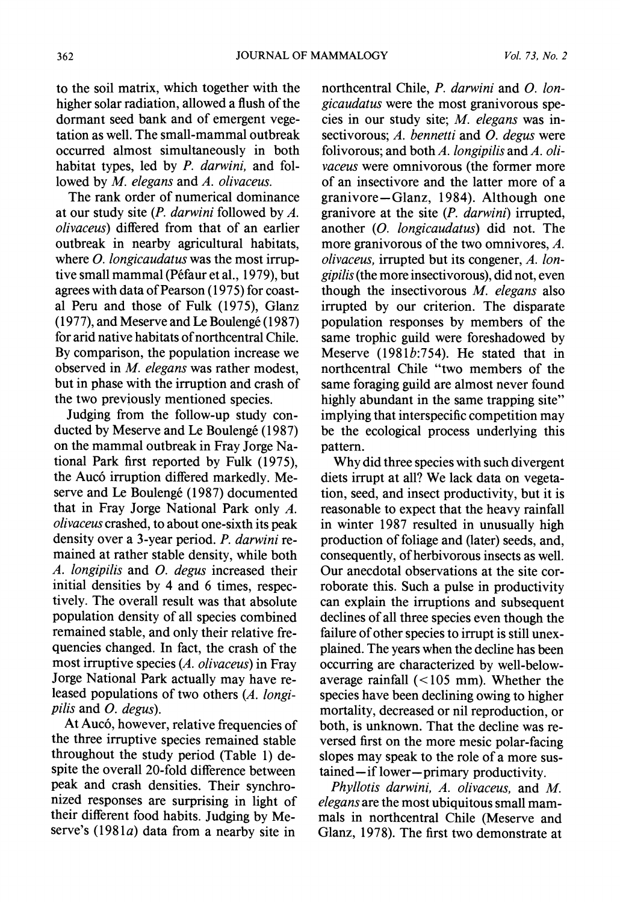**to the soil matrix, which together with the higher solar radiation, allowed a flush of the dormant seed bank and of emergent vegetation as well. The small-mammal outbreak occurred almost simultaneously in both habitat types, led by P. darwini, and followed by M. elegans and A. olivaceus.** 

**The rank order of numerical dominance at our study site (P. darwini followed by A. olivaceus) differed from that of an earlier outbreak in nearby agricultural habitats, where 0. longicaudatus was the most irruptive small mammal (P6faur et al., 1979), but agrees with data of Pearson (1975) for coastal Peru and those of Fulk (1975), Glanz (1977), and Meserve and Le Bouleng6 (1987) for arid native habitats of northcentral Chile. By comparison, the population increase we observed in M. elegans was rather modest, but in phase with the irruption and crash of the two previously mentioned species.** 

**Judging from the follow-up study conducted by Meserve and Le Bouleng6 (1987) on the mammal outbreak in Fray Jorge National Park first reported by Fulk (1975), the Auc6 irruption differed markedly. Meserve and Le Bouleng6 (1987) documented that in Fray Jorge National Park only A. olivaceus crashed, to about one-sixth its peak density over a 3-year period. P. darwini remained at rather stable density, while both A. longipilis and 0. degus increased their initial densities by 4 and 6 times, respectively. The overall result was that absolute population density of all species combined remained stable, and only their relative frequencies changed. In fact, the crash of the most irruptive species (A. olivaceus) in Fray Jorge National Park actually may have released populations of two others (A. longipilis and 0. degus).** 

**At Auc6, however, relative frequencies of the three irruptive species remained stable throughout the study period (Table 1) despite the overall 20-fold difference between peak and crash densities. Their synchronized responses are surprising in light of their different food habits. Judging by Me**serve's (1981*a*) data from a nearby site in

**northcentral Chile, P. darwini and 0. longicaudatus were the most granivorous species in our study site; M. elegans was insectivorous; A. bennetti and 0. degus were folivorous; and both A. longipilis and A. olivaceus were omnivorous (the former more of an insectivore and the latter more of a granivore-Glanz, 1984). Although one granivore at the site (P. darwini) irrupted, another (0. longicaudatus) did not. The more granivorous of the two omnivores, A. olivaceus, irrupted but its congener, A. longipilis (the more insectivorous), did not, even though the insectivorous M. elegans also irrupted by our criterion. The disparate population responses by members of the same trophic guild were foreshadowed by Meserve (1981b:754). He stated that in northcentral Chile "two members of the same foraging guild are almost never found highly abundant in the same trapping site" implying that interspecific competition may be the ecological process underlying this pattern.** 

**Why did three species with such divergent diets irrupt at all? We lack data on vegetation, seed, and insect productivity, but it is reasonable to expect that the heavy rainfall in winter 1987 resulted in unusually high production of foliage and (later) seeds, and, consequently, of herbivorous insects as well. Our anecdotal observations at the site corroborate this. Such a pulse in productivity can explain the irruptions and subsequent declines of all three species even though the failure of other species to irrupt is still unexplained. The years when the decline has been occurring are characterized by well-belowaverage rainfall (<105 mm). Whether the species have been declining owing to higher mortality, decreased or nil reproduction, or both, is unknown. That the decline was reversed first on the more mesic polar-facing slopes may speak to the role of a more sustained-if lower-primary productivity.** 

**Phyllotis darwini, A. olivaceus, and M. elegans are the most ubiquitous small mammals in northcentral Chile (Meserve and Glanz, 1978). The first two demonstrate at**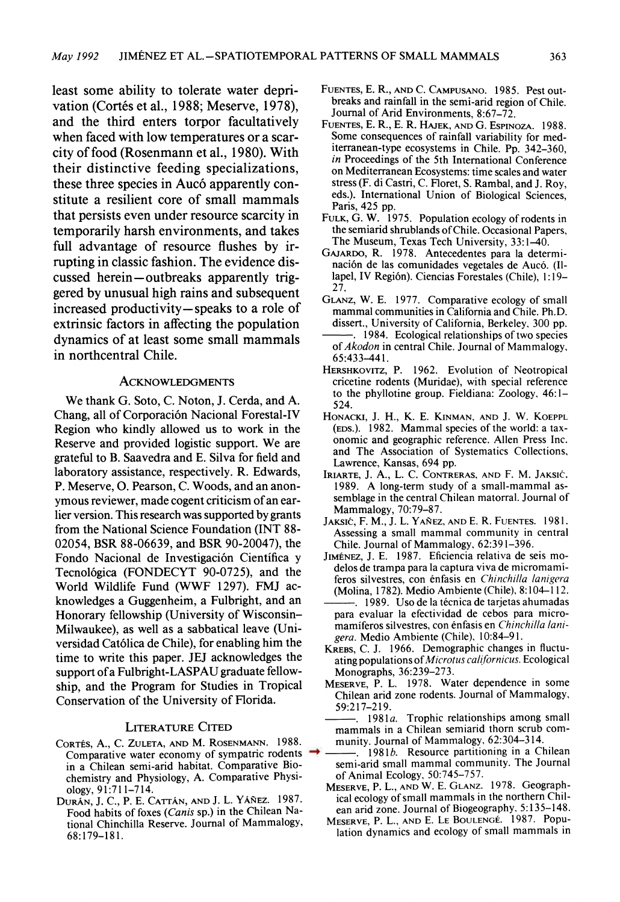**least some ability to tolerate water deprivation (Cort6s et al., 1988; Meserve, 1978), and the third enters torpor facultatively when faced with low temperatures or a scarcity of food (Rosenmann et al., 1980). With their distinctive feeding specializations, these three species in Auc6 apparently constitute a resilient core of small mammals that persists even under resource scarcity in temporarily harsh environments, and takes full advantage of resource flushes by irrupting in classic fashion. The evidence dis**cussed herein-outbreaks apparently trig**gered by unusual high rains and subsequent increased productivity- speaks to a role of extrinsic factors in affecting the population dynamics of at least some small mammals in northcentral Chile.** 

#### **ACKNOWLEDGMENTS**

**We thank G. Soto, C. Noton, J. Cerda, and A. Chang, all of Corporaci6n Nacional Forestal-IV Region who kindly allowed us to work in the Reserve and provided logistic support. We are grateful to B. Saavedra and E. Silva for field and laboratory assistance, respectively. R. Edwards, P. Meserve, O. Pearson, C. Woods, and an anonymous reviewer, made cogent criticism of an earlier version. This research was supported by grants from the National Science Foundation (INT 88- 02054, BSR 88-06639, and BSR 90-20047), the**  Fondo Nacional de Investigación Científica y **Tecnol6gica (FONDECYT 90-0725), and the World Wildlife Fund (WWF 1297). FMJ acknowledges a Guggenheim, a Fulbright, and an Honorary fellowship (University of Wisconsin-Milwaukee), as well as a sabbatical leave (Universidad Cat61lica de Chile), for enabling him the time to write this paper. JEJ acknowledges the support of a Fulbright-LASPAU graduate fellowship, and the Program for Studies in Tropical Conservation of the University of Florida.** 

#### **LITERATURE CITED**

- **CORTES, A., C. ZULETA, AND M. ROSENMANN. 1988. Comparative water economy of sympatric rodents in a Chilean semi-arid habitat. Comparative Biochemistry and Physiology, A. Comparative Physiology, 91:711-714.**
- **DURAN, J. C., P. E. CATTAN, AND J. L. YAN4EZ. 1987. Food habits of foxes (Canis sp.) in the Chilean National Chinchilla Reserve. Journal of Mammalogy, 68:179-181.**
- **FUENTES, E. R., AND C. CAMPUSANO. 1985. Pest outbreaks and rainfall in the semi-arid region of Chile. Journal of Arid Environments, 8:67-72.**
- **FUENTES, E. R., E. R. HAJEK, AND G. ESPINOZA. 1988. Some consequences of rainfall variability for mediterranean-type ecosystems in Chile. Pp. 342-360, in Proceedings of the 5th International Conference on Mediterranean Ecosystems: time scales and water stress (F. di Castri, C. Floret, S. Rambal, and J. Roy, eds.). International Union of Biological Sciences, Paris, 425 pp.**
- **FULK, G. W. 1975. Population ecology of rodents in the semiarid shrublands of Chile. Occasional Papers, The Museum, Texas Tech University, 33:1-40.**
- **GAJARDO, R. 1978. Antecedentes para la determi**nación de las comunidades vegetales de Aucó. (Il**lapel, IV Regi6n). Ciencias Forestales (Chile), 1:19- 27.**
- **GLANZ, W. E. 1977. Comparative ecology of small mammal communities in California and Chile. Ph.D. dissert., University of California, Berkeley, 300 pp. 1984. Ecological relationships of two species of Akodon in central Chile. Journal of Mammalogy,**
- **65:433-441. HERSHKOVITZ, P. 1962. Evolution of Neotropical cricetine rodents (Muridae), with special reference to the phyllotine group. Fieldiana: Zoology, 46:1- 524.**
- **HONACKI, J. H., K. E. KINMAN, AND J. W. KOEPPL (EDS.). 1982. Mammal species of the world: a taxonomic and geographic reference. Allen Press Inc. and The Association of Systematics Collections, Lawrence, Kansas, 694 pp.**
- **IRIARTE, J. A., L. C. CONTRERAS, AND F. M. JAKSIC. 1989. A long-term study of a small-mammal assemblage in the central Chilean matorral. Journal of Mammalogy, 70:79-87.**
- **JAKSIC, F. M., J. L. YA1NEZ, AND E. R. FUENTES. 1981. Assessing a small mammal community in central Chile. Journal of Mammalogy, 62:391-396.**
- **JIMENEZ, J. E. 1987. Eficiencia relativa de seis modelos de trampa para la captura viva de micromamiferos silvestres, con 6nfasis en Chinchilla lanigera (Molina, 1782). Medio Ambiente (Chile), 8:104-112.**
- -. 1989. Uso de la técnica de tarjetas ahumadas **para evaluar la efectividad de cebos para micromamiferos silvestres, con 6nfasis en Chinchilla lanigera. Medio Ambiente (Chile), 10:84-91.**
- **KREBS, C. J. 1966. Demographic changes in fluctu**ating populations of Microtus californicus. Ecological **Monographs, 36:239-273.**
- **MESERVE, P. L. 1978. Water dependence in some Chilean arid zone rodents. Journal of Mammalogy, 59:217-219.**
- **. 1981a. Trophic relationships among small mammals in a Chilean semiarid thorn scrub community. Journal of Mammalogy, 62:304-314.**
- **1981b. Resource partitioning in a Chilean semi-arid small mammal community. The Journal of Animal Ecology, 50:745-757.**
- **MESERVE, P. L., AND W. E. GLANZ. 1978. Geographical ecology of small mammals in the northern Chilean arid zone. Journal of Biogeography, 5:135-148.**
- **MESERVE, P. L., AND E. LE BOULENGt. 1987. Population dynamics and ecology of small mammals in**